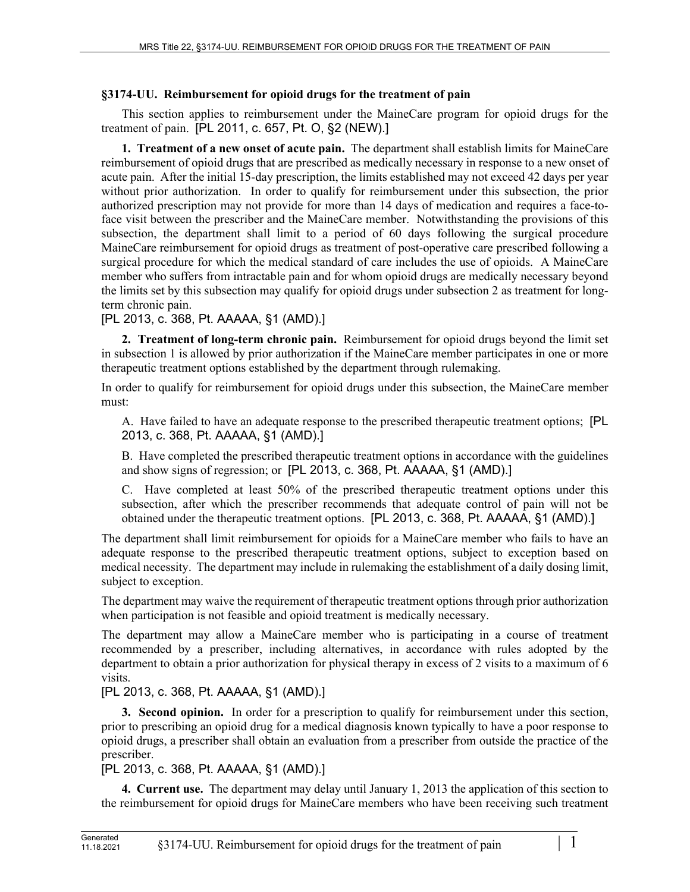## **§3174-UU. Reimbursement for opioid drugs for the treatment of pain**

This section applies to reimbursement under the MaineCare program for opioid drugs for the treatment of pain. [PL 2011, c. 657, Pt. O, §2 (NEW).]

**1. Treatment of a new onset of acute pain.** The department shall establish limits for MaineCare reimbursement of opioid drugs that are prescribed as medically necessary in response to a new onset of acute pain. After the initial 15-day prescription, the limits established may not exceed 42 days per year without prior authorization. In order to qualify for reimbursement under this subsection, the prior authorized prescription may not provide for more than 14 days of medication and requires a face-toface visit between the prescriber and the MaineCare member. Notwithstanding the provisions of this subsection, the department shall limit to a period of 60 days following the surgical procedure MaineCare reimbursement for opioid drugs as treatment of post-operative care prescribed following a surgical procedure for which the medical standard of care includes the use of opioids. A MaineCare member who suffers from intractable pain and for whom opioid drugs are medically necessary beyond the limits set by this subsection may qualify for opioid drugs under subsection 2 as treatment for longterm chronic pain.

[PL 2013, c. 368, Pt. AAAAA, §1 (AMD).]

**2. Treatment of long-term chronic pain.** Reimbursement for opioid drugs beyond the limit set in subsection 1 is allowed by prior authorization if the MaineCare member participates in one or more therapeutic treatment options established by the department through rulemaking.

In order to qualify for reimbursement for opioid drugs under this subsection, the MaineCare member must:

A. Have failed to have an adequate response to the prescribed therapeutic treatment options; [PL 2013, c. 368, Pt. AAAAA, §1 (AMD).]

B. Have completed the prescribed therapeutic treatment options in accordance with the guidelines and show signs of regression; or [PL 2013, c. 368, Pt. AAAAA, §1 (AMD).]

C. Have completed at least 50% of the prescribed therapeutic treatment options under this subsection, after which the prescriber recommends that adequate control of pain will not be obtained under the therapeutic treatment options. [PL 2013, c. 368, Pt. AAAAA, §1 (AMD).]

The department shall limit reimbursement for opioids for a MaineCare member who fails to have an adequate response to the prescribed therapeutic treatment options, subject to exception based on medical necessity. The department may include in rulemaking the establishment of a daily dosing limit, subject to exception.

The department may waive the requirement of therapeutic treatment options through prior authorization when participation is not feasible and opioid treatment is medically necessary.

The department may allow a MaineCare member who is participating in a course of treatment recommended by a prescriber, including alternatives, in accordance with rules adopted by the department to obtain a prior authorization for physical therapy in excess of 2 visits to a maximum of 6 visits.

[PL 2013, c. 368, Pt. AAAAA, §1 (AMD).]

**3. Second opinion.** In order for a prescription to qualify for reimbursement under this section, prior to prescribing an opioid drug for a medical diagnosis known typically to have a poor response to opioid drugs, a prescriber shall obtain an evaluation from a prescriber from outside the practice of the prescriber.

## [PL 2013, c. 368, Pt. AAAAA, §1 (AMD).]

**4. Current use.** The department may delay until January 1, 2013 the application of this section to the reimbursement for opioid drugs for MaineCare members who have been receiving such treatment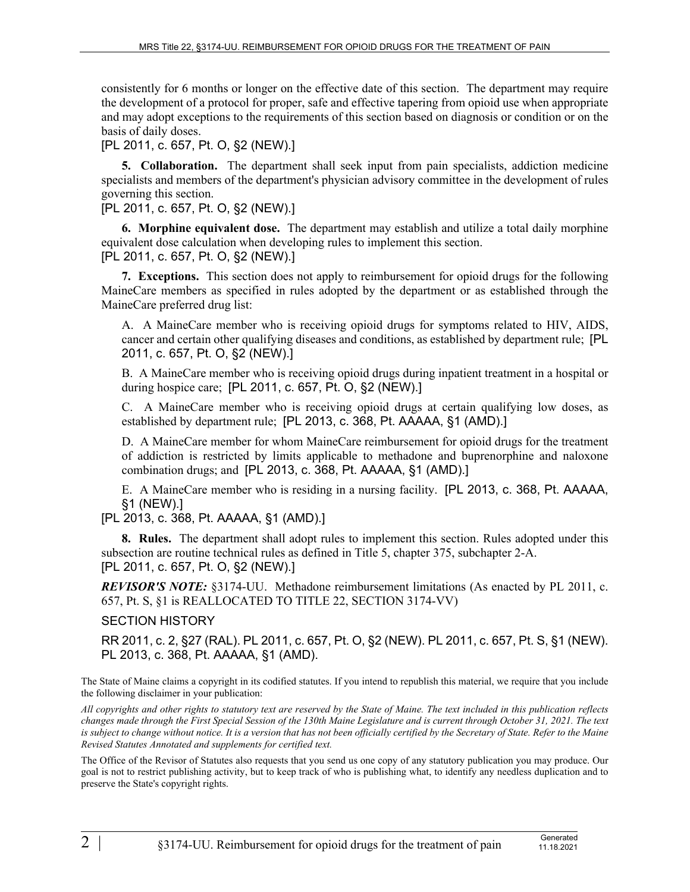consistently for 6 months or longer on the effective date of this section. The department may require the development of a protocol for proper, safe and effective tapering from opioid use when appropriate and may adopt exceptions to the requirements of this section based on diagnosis or condition or on the basis of daily doses.

[PL 2011, c. 657, Pt. O, §2 (NEW).]

**5. Collaboration.** The department shall seek input from pain specialists, addiction medicine specialists and members of the department's physician advisory committee in the development of rules governing this section.

[PL 2011, c. 657, Pt. O, §2 (NEW).]

**6. Morphine equivalent dose.** The department may establish and utilize a total daily morphine equivalent dose calculation when developing rules to implement this section.

[PL 2011, c. 657, Pt. O, §2 (NEW).]

**7. Exceptions.** This section does not apply to reimbursement for opioid drugs for the following MaineCare members as specified in rules adopted by the department or as established through the MaineCare preferred drug list:

A. A MaineCare member who is receiving opioid drugs for symptoms related to HIV, AIDS, cancer and certain other qualifying diseases and conditions, as established by department rule; [PL 2011, c. 657, Pt. O, §2 (NEW).]

B. A MaineCare member who is receiving opioid drugs during inpatient treatment in a hospital or during hospice care; [PL 2011, c. 657, Pt. O, §2 (NEW).]

C. A MaineCare member who is receiving opioid drugs at certain qualifying low doses, as established by department rule; [PL 2013, c. 368, Pt. AAAAA, §1 (AMD).]

D. A MaineCare member for whom MaineCare reimbursement for opioid drugs for the treatment of addiction is restricted by limits applicable to methadone and buprenorphine and naloxone combination drugs; and [PL 2013, c. 368, Pt. AAAAA, §1 (AMD).]

E. A MaineCare member who is residing in a nursing facility. [PL 2013, c. 368, Pt. AAAAA, §1 (NEW).]

[PL 2013, c. 368, Pt. AAAAA, §1 (AMD).]

**8. Rules.** The department shall adopt rules to implement this section. Rules adopted under this subsection are routine technical rules as defined in Title 5, chapter 375, subchapter 2-A. [PL 2011, c. 657, Pt. O, §2 (NEW).]

*REVISOR'S NOTE:* §3174-UU. Methadone reimbursement limitations (As enacted by PL 2011, c. 657, Pt. S, §1 is REALLOCATED TO TITLE 22, SECTION 3174-VV)

## SECTION HISTORY

RR 2011, c. 2, §27 (RAL). PL 2011, c. 657, Pt. O, §2 (NEW). PL 2011, c. 657, Pt. S, §1 (NEW). PL 2013, c. 368, Pt. AAAAA, §1 (AMD).

The State of Maine claims a copyright in its codified statutes. If you intend to republish this material, we require that you include the following disclaimer in your publication:

*All copyrights and other rights to statutory text are reserved by the State of Maine. The text included in this publication reflects changes made through the First Special Session of the 130th Maine Legislature and is current through October 31, 2021. The text*  is subject to change without notice. It is a version that has not been officially certified by the Secretary of State. Refer to the Maine *Revised Statutes Annotated and supplements for certified text.*

The Office of the Revisor of Statutes also requests that you send us one copy of any statutory publication you may produce. Our goal is not to restrict publishing activity, but to keep track of who is publishing what, to identify any needless duplication and to preserve the State's copyright rights.

11.18.2021